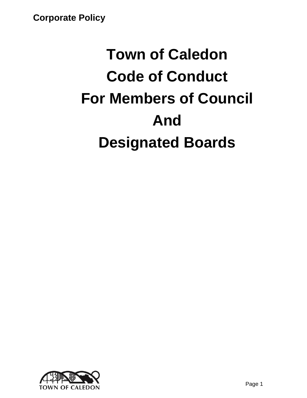# **Town of Caledon Code of Conduct For Members of Council And Designated Boards**

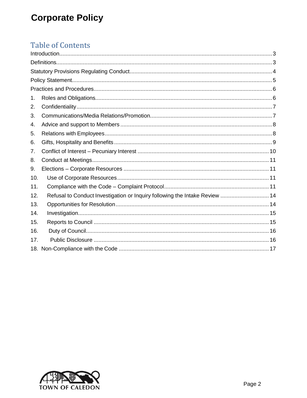# **Table of Contents**

| 1.              |                                                                             |  |
|-----------------|-----------------------------------------------------------------------------|--|
| 2.              |                                                                             |  |
| 3.              |                                                                             |  |
| 4.              |                                                                             |  |
| 5.              |                                                                             |  |
| 6.              |                                                                             |  |
| 7.              |                                                                             |  |
| 8.              |                                                                             |  |
| 9.              |                                                                             |  |
| 10 <sub>1</sub> |                                                                             |  |
| 11.             |                                                                             |  |
| 12.             | Refusal to Conduct Investigation or Inquiry following the Intake Review  14 |  |
| 13.             |                                                                             |  |
| 14.             |                                                                             |  |
| 15.             |                                                                             |  |
| 16.             |                                                                             |  |
| 17.             |                                                                             |  |
|                 |                                                                             |  |
|                 |                                                                             |  |

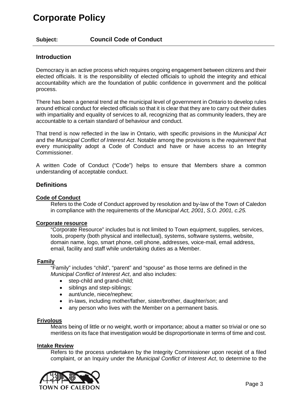**Subject: Council Code of Conduct**

# <span id="page-2-0"></span>**Introduction**

Democracy is an active process which requires ongoing engagement between citizens and their elected officials. It is the responsibility of elected officials to uphold the integrity and ethical accountability which are the foundation of public confidence in government and the political process.

There has been a general trend at the municipal level of government in Ontario to develop rules around ethical conduct for elected officials so that it is clear that they are to carry out their duties with impartiality and equality of services to all, recognizing that as community leaders, they are accountable to a certain standard of behaviour and conduct.

That trend is now reflected in the law in Ontario, with specific provisions in the *Municipal Act* and the *Municipal Conflict of Interest Act*. Notable among the provisions is the *requirement* that every municipality adopt a Code of Conduct and have or have access to an Integrity Commissioner.

A written Code of Conduct ("Code") helps to ensure that Members share a common understanding of acceptable conduct.

# <span id="page-2-1"></span>**Definitions**

### **Code of Conduct**

Refers to the Code of Conduct approved by resolution and by-law of the Town of Caledon in compliance with the requirements of the *Municipal Act, 2001*, *S.O. 2001, c.25.*

#### **Corporate resource**

"Corporate Resource" includes but is not limited to Town equipment, supplies, services, tools, property (both physical and intellectual), systems, software systems, website, domain name, logo, smart phone, cell phone, addresses, voice-mail, email address, email, facility and staff while undertaking duties as a Member.

#### **Family**

"Family" includes "child", "parent" and "spouse" as those terms are defined in the *Municipal Conflict of Interest Act*, and also includes:

- step-child and grand-child;
- siblings and step-siblings;
- aunt/uncle, niece/nephew;
- in-laws, including mother/father, sister/brother, daughter/son; and
- any person who lives with the Member on a permanent basis.

# **Frivolous**

Means being of little or no weight, worth or importance; about a matter so trivial or one so meritless on its face that investigation would be disproportionate in terms of time and cost.

#### **Intake Review**

Refers to the process undertaken by the Integrity Commissioner upon receipt of a filed complaint, or an Inquiry under the *Municipal Conflict of Interest Act*, to determine to the

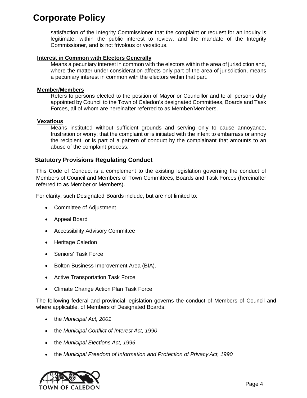satisfaction of the Integrity Commissioner that the complaint or request for an inquiry is legitimate, within the public interest to review, and the mandate of the Integrity Commissioner, and is not frivolous or vexatious.

# **Interest in Common with Electors Generally**

Means a pecuniary interest in common with the electors within the area of jurisdiction and, where the matter under consideration affects only part of the area of jurisdiction, means a pecuniary interest in common with the electors within that part.

### **Member/Members**

Refers to persons elected to the position of Mayor or Councillor and to all persons duly appointed by Council to the Town of Caledon's designated Committees, Boards and Task Forces, all of whom are hereinafter referred to as Member/Members.

#### **Vexatious**

Means instituted without sufficient grounds and serving only to cause annoyance, frustration or worry; that the complaint or is initiated with the intent to embarrass or annoy the recipient, or is part of a pattern of conduct by the complainant that amounts to an abuse of the complaint process.

# <span id="page-3-0"></span>**Statutory Provisions Regulating Conduct**

This Code of Conduct is a complement to the existing legislation governing the conduct of Members of Council and Members of Town Committees, Boards and Task Forces (hereinafter referred to as Member or Members).

For clarity, such Designated Boards include, but are not limited to:

- Committee of Adjustment
- Appeal Board
- Accessibility Advisory Committee
- Heritage Caledon
- Seniors' Task Force
- Bolton Business Improvement Area (BIA).
- Active Transportation Task Force
- Climate Change Action Plan Task Force

The following federal and provincial legislation governs the conduct of Members of Council and where applicable, of Members of Designated Boards:

- the *Municipal Act, 2001*
- the *Municipal Conflict of Interest Act, 1990*
- the *Municipal Elections Act, 1996*
- the *Municipal Freedom of Information and Protection of Privacy Act, 1990*

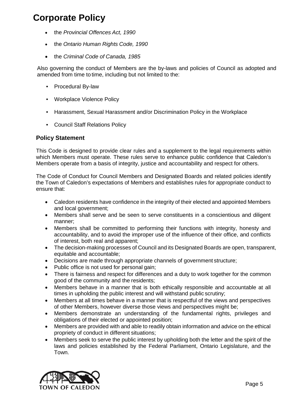- the *Provincial Offences Act, 1990*
- the *Ontario Human Rights Code, 1990*
- the *Criminal Code of Canada, 1985*

Also governing the conduct of Members are the by-laws and policies of Council as adopted and amended from time to time, including but not limited to the:

- Procedural By-law
- Workplace Violence Policy
- Harassment, Sexual Harassment and/or Discrimination Policy in the Workplace
- Council Staff Relations Policy

# <span id="page-4-1"></span><span id="page-4-0"></span>**Policy Statement**

This Code is designed to provide clear rules and a supplement to the legal requirements within which Members must operate. These rules serve to enhance public confidence that Caledon's Members operate from a basis of integrity, justice and accountability and respect for others.

The Code of Conduct for Council Members and Designated Boards and related policies identify the Town of Caledon's expectations of Members and establishes rules for appropriate conduct to ensure that:

- Caledon residents have confidence in the integrity of their elected and appointed Members and local government;
- Members shall serve and be seen to serve constituents in a conscientious and diligent manner;
- Members shall be committed to performing their functions with integrity, honesty and accountability, and to avoid the improper use of the influence of their office, and conflicts of interest, both real and apparent;
- The decision-making processes of Council and its Designated Boards are open, transparent, equitable and accountable;
- Decisions are made through appropriate channels of government structure;
- Public office is not used for personal gain;
- There is fairness and respect for differences and a duty to work together for the common good of the community and the residents;
- Members behave in a manner that is both ethically responsible and accountable at all times in upholding the public interest and will withstand public scrutiny;
- Members at all times behave in a manner that is respectful of the views and perspectives of other Members, however diverse those views and perspectives might be;
- Members demonstrate an understanding of the fundamental rights, privileges and obligations of their elected or appointed position;
- Members are provided with and able to readily obtain information and advice on the ethical propriety of conduct in different situations;
- Members seek to serve the public interest by upholding both the letter and the spirit of the laws and policies established by the Federal Parliament, Ontario Legislature, and the Town.

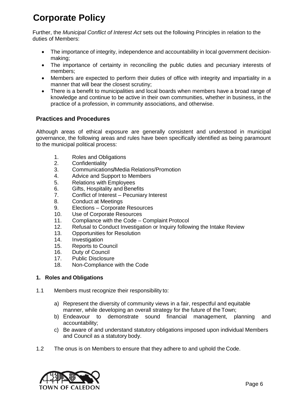Further, the *Municipal Conflict of Interest Act* sets out the following Principles in relation to the duties of Members:

- The importance of integrity, independence and accountability in local government decisionmaking;
- The importance of certainty in reconciling the public duties and pecuniary interests of members;
- Members are expected to perform their duties of office with integrity and impartiality in a manner that will bear the closest scrutiny;
- There is a benefit to municipalities and local boards when members have a broad range of knowledge and continue to be active in their own communities, whether in business, in the practice of a profession, in community associations, and otherwise.

# <span id="page-5-1"></span><span id="page-5-0"></span>**Practices and Procedures**

Although areas of ethical exposure are generally consistent and understood in municipal governance, the following areas and rules have been specifically identified as being paramount to the municipal political process:

- 1. Roles and Obligations
- 2. Confidentiality
- 3. Communications**/**Media Relations/Promotion
- 4. Advice and Support to Members
- 5. Relations with Employees
- 6. Gifts, Hospitality and Benefits
- 7. Conflict of Interest Pecuniary Interest
- 8. Conduct at Meetings
- 9. Elections Corporate Resources
- 10. Use of Corporate Resources
- 11. Compliance with the Code Complaint Protocol
- 12. Refusal to Conduct Investigation or Inquiry following the Intake Review
- 13. Opportunities for Resolution
- 14. Investigation
- 15. Reports to Council
- 16. Duty of Council
- 17. Public Disclosure
- 18. Non-Compliance with the Code

# <span id="page-5-2"></span>**1. Roles and Obligations**

- 1.1 Members must recognize their responsibility to:
	- a) Represent the diversity of community views in a fair, respectful and equitable manner, while developing an overall strategy for the future of the Town;
	- b) Endeavour to demonstrate sound financial management, planning and accountability;
	- c) Be aware of and understand statutory obligations imposed upon individual Members and Council as a statutory body.
- 1.2 The onus is on Members to ensure that they adhere to and uphold the Code.

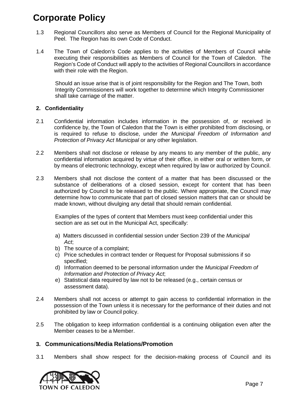- 1.3 Regional Councillors also serve as Members of Council for the Regional Municipality of Peel. The Region has its own Code of Conduct.
- 1.4 The Town of Caledon's Code applies to the activities of Members of Council while executing their responsibilities as Members of Council for the Town of Caledon. The Region's Code of Conduct will apply to the activities of Regional Councillors in accordance with their role with the Region.

Should an issue arise that is of joint responsibility for the Region and The Town, both Integrity Commissioners will work together to determine which Integrity Commissioner shall take carriage of the matter.

# <span id="page-6-1"></span><span id="page-6-0"></span>**2. Confidentiality**

- 2.1 Confidential information includes information in the possession of, or received in confidence by, the Town of Caledon that the Town is either prohibited from disclosing, or is required to refuse to disclose, under *the Municipal Freedom of Information and Protection of Privacy Act Municipal* or any other legislation.
- 2.2 Members shall not disclose or release by any means to any member of the public, any confidential information acquired by virtue of their office, in either oral or written form, or by means of electronic technology, except when required by law or authorized by Council.
- 2.3 Members shall not disclose the content of a matter that has been discussed or the substance of deliberations of a closed session, except for content that has been authorized by Council to be released to the public. Where appropriate, the Council may determine how to communicate that part of closed session matters that can or should be made known, without divulging any detail that should remain confidential.

Examples of the types of content that Members must keep confidential under this section are as set out in the Municipal Act, specifically:

- a) Matters discussed in confidential session under Section 239 of the *Municipal Act*;
- b) The source of a complaint;
- c) Price schedules in contract tender or Request for Proposal submissions if so specified;
- d) Information deemed to be personal information under the *Municipal Freedom of Information and Protection of Privacy Act*;
- e) Statistical data required by law not to be released (e.g., certain census or assessment data).
- 2.4 Members shall not access or attempt to gain access to confidential information in the possession of the Town unless it is necessary for the performance of their duties and not prohibited by law or Council policy.
- 2.5 The obligation to keep information confidential is a continuing obligation even after the Member ceases to be a Member.

# <span id="page-6-2"></span>**3. Communications/Media Relations/Promotion**

3.1 Members shall show respect for the decision-making process of Council and its

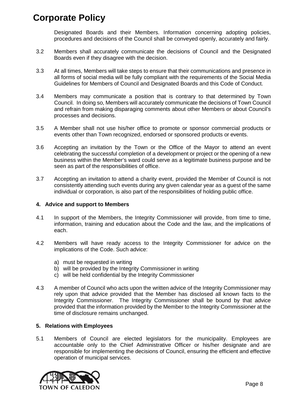Designated Boards and their Members. Information concerning adopting policies, procedures and decisions of the Council shall be conveyed openly, accurately and fairly.

- 3.2 Members shall accurately communicate the decisions of Council and the Designated Boards even if they disagree with the decision.
- 3.3 At all times, Members will take steps to ensure that their communications and presence in all forms of social media will be fully compliant with the requirements of the Social Media Guidelines for Members of Council and Designated Boards and this Code of Conduct.
- 3.4 Members may communicate a position that is contrary to that determined by Town Council. In doing so, Members will accurately communicate the decisions of Town Council and refrain from making disparaging comments about other Members or about Council's processes and decisions.
- 3.5 A Member shall not use his/her office to promote or sponsor commercial products or events other than Town recognized, endorsed or sponsored products or events.
- 3.6 Accepting an invitation by the Town or the Office of the Mayor to attend an event celebrating the successful completion of a development or project or the opening of a new business within the Member's ward could serve as a legitimate business purpose and be seen as part of the responsibilities of office.
- 3.7 Accepting an invitation to attend a charity event, provided the Member of Council is not consistently attending such events during any given calendar year as a guest of the same individual or corporation, is also part of the responsibilities of holding public office.

# <span id="page-7-0"></span>**4. Advice and support to Members**

- 4.1 In support of the Members, the Integrity Commissioner will provide, from time to time, information, training and education about the Code and the law, and the implications of each.
- 4.2 Members will have ready access to the Integrity Commissioner for advice on the implications of the Code. Such advice:
	- a) must be requested in writing
	- b) will be provided by the Integrity Commissioner in writing
	- c) will be held confidential by the Integrity Commissioner
- 4.3 A member of Council who acts upon the written advice of the Integrity Commissioner may rely upon that advice provided that the Member has disclosed all known facts to the Integrity Commissioner. The Integrity Commissioner shall be bound by that advice provided that the information provided by the Member to the Integrity Commissioner at the time of disclosure remains unchanged.

# <span id="page-7-1"></span>**5. Relations with Employees**

5.1 Members of Council are elected legislators for the municipality. Employees are accountable only to the Chief Administrative Officer or his/her designate and are responsible for implementing the decisions of Council, ensuring the efficient and effective operation of municipal services.

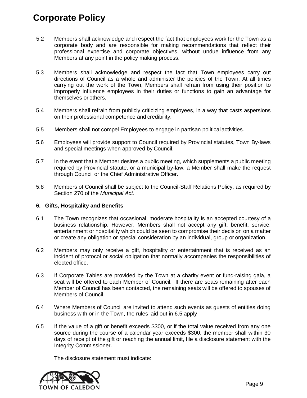- 5.2 Members shall acknowledge and respect the fact that employees work for the Town as a corporate body and are responsible for making recommendations that reflect their professional expertise and corporate objectives, without undue influence from any Members at any point in the policy making process.
- 5.3 Members shall acknowledge and respect the fact that Town employees carry out directions of Council as a whole and administer the policies of the Town. At all times carrying out the work of the Town, Members shall refrain from using their position to improperly influence employees in their duties or functions to gain an advantage for themselves or others.
- 5.4 Members shall refrain from publicly criticizing employees, in a way that casts aspersions on their professional competence and credibility.
- 5.5 Members shall not compel Employees to engage in partisan political activities.
- 5.6 Employees will provide support to Council required by Provincial statutes, Town By-laws and special meetings when approved by Council.
- 5.7 In the event that a Member desires a public meeting, which supplements a public meeting required by Provincial statute, or a municipal by-law, a Member shall make the request through Council or the Chief Administrative Officer.
- 5.8 Members of Council shall be subject to the Council-Staff Relations Policy, as required by Section 270 of the *Municipal Act*.

# <span id="page-8-0"></span>**6. Gifts, Hospitality and Benefits**

- 6.1 The Town recognizes that occasional, moderate hospitality is an accepted courtesy of a business relationship. However, Members shall not accept any gift, benefit, service, entertainment or hospitality which could be seen to compromise their decision on a matter or create any obligation or special consideration by an individual, group or organization.
- 6.2 Members may only receive a gift, hospitality or entertainment that is received as an incident of protocol or social obligation that normally accompanies the responsibilities of elected office.
- 6.3 If Corporate Tables are provided by the Town at a charity event or fund-raising gala, a seat will be offered to each Member of Council. If there are seats remaining after each Member of Council has been contacted, the remaining seats will be offered to spouses of Members of Council.
- 6.4 Where Members of Council are invited to attend such events as guests of entities doing business with or in the Town, the rules laid out in 6.5 apply
- 6.5 If the value of a gift or benefit exceeds \$300, or if the total value received from any one source during the course of a calendar year exceeds \$300, the member shall within 30 days of receipt of the gift or reaching the annual limit, file a disclosure statement with the Integrity Commissioner.

The disclosure statement must indicate:

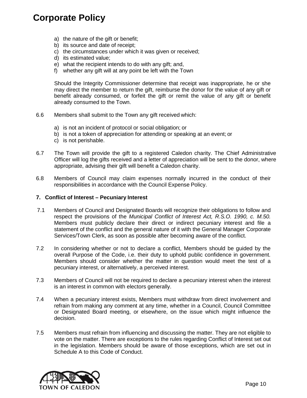- a) the nature of the gift or benefit;
- b) its source and date of receipt;
- c) the circumstances under which it was given or received;
- d) its estimated value;
- e) what the recipient intends to do with any gift; and,
- f) whether any gift will at any point be left with the Town

 Should the Integrity Commissioner determine that receipt was inappropriate, he or she may direct the member to return the gift, reimburse the donor for the value of any gift or benefit already consumed, or forfeit the gift or remit the value of any gift or benefit already consumed to the Town.

- 6.6 Members shall submit to the Town any gift received which:
	- a) is not an incident of protocol or social obligation; or
	- b) is not a token of appreciation for attending or speaking at an event; or
	- c) is not perishable.
- 6.7 The Town will provide the gift to a registered Caledon charity. The Chief Administrative Officer will log the gifts received and a letter of appreciation will be sent to the donor, where appropriate, advising their gift will benefit a Caledon charity.
- 6.8 Members of Council may claim expenses normally incurred in the conduct of their responsibilities in accordance with the Council Expense Policy.

#### <span id="page-9-0"></span>**7. Conflict of Interest – Pecuniary Interest**

- 7.1 Members of Council and Designated Boards will recognize their obligations to follow and respect the provisions of the *Municipal Conflict of Interest Act, R.S.O. 1990, c. M.50.*  Members must publicly declare their direct or indirect pecuniary interest and file a statement of the conflict and the general nature of it with the General Manager Corporate Services/Town Clerk, as soon as possible after becoming aware of the conflict.
- 7.2 In considering whether or not to declare a conflict, Members should be guided by the overall Purpose of the Code, i.e. their duty to uphold public confidence in government. Members should consider whether the matter in question would meet the test of a pecuniary interest, or alternatively, a perceived interest.
- 7.3 Members of Council will not be required to declare a pecuniary interest when the interest is an interest in common with electors generally.
- 7.4 When a pecuniary interest exists, Members must withdraw from direct involvement and refrain from making any comment at any time, whether in a Council, Council Committee or Designated Board meeting, or elsewhere, on the issue which might influence the decision.
- 7.5 Members must refrain from influencing and discussing the matter. They are not eligible to vote on the matter. There are exceptions to the rules regarding Conflict of Interest set out in the legislation. Members should be aware of those exceptions, which are set out in Schedule A to this Code of Conduct.

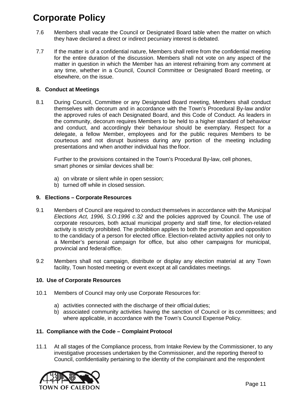- 7.6 Members shall vacate the Council or Designated Board table when the matter on which they have declared a direct or indirect pecuniary interest is debated.
- 7.7 If the matter is of a confidential nature, Members shall retire from the confidential meeting for the entire duration of the discussion. Members shall not vote on any aspect of the matter in question in which the Member has an interest refraining from any comment at any time, whether in a Council, Council Committee or Designated Board meeting, or elsewhere, on the issue.

# <span id="page-10-0"></span>**8. Conduct at Meetings**

8.1 During Council, Committee or any Designated Board meeting, Members shall conduct themselves with decorum and in accordance with the Town's Procedural By-law and/or the approved rules of each Designated Board, and this Code of Conduct. As leaders in the community, decorum requires Members to be held to a higher standard of behaviour and conduct, and accordingly their behaviour should be exemplary. Respect for a delegate, a fellow Member, employees and for the public requires Members to be courteous and not disrupt business during any portion of the meeting including presentations and when another individual has the floor.

Further to the provisions contained in the Town's Procedural By-law, cell phones, smart phones or similar devices shall be:

- a) on vibrate or silent while in open session;
- b) turned off while in closed session.

### <span id="page-10-1"></span>**9. Elections – Corporate Resources**

- 9.1 Members of Council are required to conduct themselves in accordance with the *Municipal Elections Act, 1996, S.O.1996 c.32* and the policies approved by Council. The use of corporate resources, both actual municipal property and staff time, for election-related activity is strictly prohibited. The prohibition applies to both the promotion and opposition to the candidacy of a person for elected office. Election-related activity applies not only to a Member's personal campaign for office, but also other campaigns for municipal, provincial and federal office.
- 9.2 Members shall not campaign, distribute or display any election material at any Town facility, Town hosted meeting or event except at all candidates meetings.

# <span id="page-10-2"></span>**10. Use of Corporate Resources**

- 10.1 Members of Council may only use Corporate Resources for:
	- a) activities connected with the discharge of their official duties;
	- b) associated community activities having the sanction of Council or its committees; and where applicable, in accordance with the Town's Council Expense Policy.

# <span id="page-10-3"></span>**11. Compliance with the Code – Complaint Protocol**

11.1 At all stages of the Compliance process, from Intake Review by the Commissioner, to any investigative processes undertaken by the Commissioner, and the reporting thereof to Council, confidentiality pertaining to the identity of the complainant and the respondent

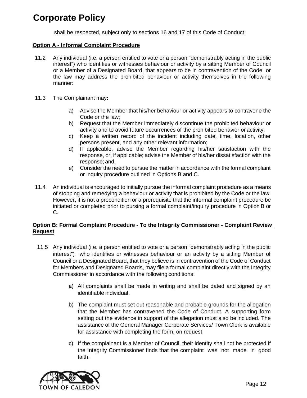shall be respected, subject only to sections 16 and 17 of this Code of Conduct.

#### **Option A - Informal Complaint Procedure**

- 11.2 Any individual (i.e. a person entitled to vote or a person "demonstrably acting in the public interest") who identifies or witnesses behaviour or activity by a sitting Member of Council or a Member of a Designated Board, that appears to be in contravention of the Code or the law may address the prohibited behaviour or activity themselves in the following manner:
- 11.3 The Complainant may**:**
	- a) Advise the Member that his/her behaviour or activity appears to contravene the Code or the law;
	- b) Request that the Member immediately discontinue the prohibited behaviour or activity and to avoid future occurrences of the prohibited behavior or activity;
	- c) Keep a written record of the incident including date, time, location, other persons present, and any other relevant information;
	- d) If applicable, advise the Member regarding his/her satisfaction with the response, or, if applicable; advise the Member of his/her dissatisfaction with the response; and,
	- e) Consider the need to pursue the matter in accordance with the formal complaint or inquiry procedure outlined in Options B and C.
- 11.4 An individual is encouraged to initially pursue the informal complaint procedure as a means of stopping and remedying a behaviour or activity that is prohibited by the Code or the law. However, it is not a precondition or a prerequisite that the informal complaint procedure be initiated or completed prior to pursing a formal complaint/inquiry procedure in Option B or C.

# **Option B: Formal Complaint Procedure - To the Integrity Commissioner - Complaint Review Request**

- 11.5 Any individual (i.e. a person entitled to vote or a person "demonstrably acting in the public interest") who identifies or witnesses behaviour or an activity by a sitting Member of Council or a Designated Board, that they believe is in contravention of the Code of Conduct for Members and Designated Boards, may file a formal complaint directly with the Integrity Commissioner in accordance with the following conditions:
	- a) All complaints shall be made in writing and shall be dated and signed by an identifiable individual.
	- b) The complaint must set out reasonable and probable grounds for the allegation that the Member has contravened the Code of Conduct. A supporting form setting out the evidence in support of the allegation must also be included. The assistance of the General Manager Corporate Services/ Town Clerk is available for assistance with completing the form, on request.
	- c) If the complainant is a Member of Council, their identity shall not be protected if the Integrity Commissioner finds that the complaint was not made in good faith.

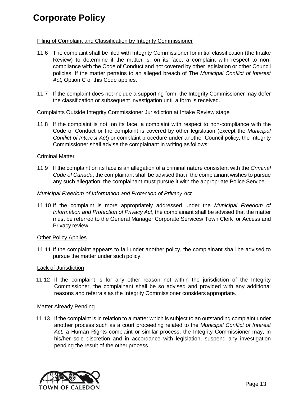# Filing of Complaint and Classification by Integrity Commissioner

- 11.6 The complaint shall be filed with Integrity Commissioner for initial classification (the Intake Review) to determine if the matter is, on its face, a complaint with respect to noncompliance with the Code of Conduct and not covered by other legislation or other Council policies. If the matter pertains to an alleged breach of The *Municipal Conflict of Interest Act*, Option C of this Code applies.
- 11.7 If the complaint does not include a supporting form, the Integrity Commissioner may defer the classification or subsequent investigation until a form is received.

#### Complaints Outside Integrity Commissioner Jurisdiction at Intake Review stage

11.8 If the complaint is not, on its face, a complaint with respect to non-compliance with the Code of Conduct or the complaint is covered by other legislation (except the *Municipal Conflict of Interest Act*) or complaint procedure under another Council policy, the Integrity Commissioner shall advise the complainant in writing as follows:

# **Criminal Matter**

11.9 If the complaint on its face is an allegation of a criminal nature consistent with the *Criminal Code of Canada*, the complainant shall be advised that if the complainant wishes to pursue any such allegation, the complainant must pursue it with the appropriate Police Service.

#### *Municipal Freedom of Information and Protection of Privacy Act*

11.10 If the complaint is more appropriately addressed under the *Municipal Freedom of Information and Protection of Privacy Act*, the complainant shall be advised that the matter must be referred to the General Manager Corporate Services/ Town Clerk for Access and Privacy review.

# Other Policy Applies

11.11 If the complaint appears to fall under another policy, the complainant shall be advised to pursue the matter under such policy.

#### Lack of Jurisdiction

11.12 If the complaint is for any other reason not within the jurisdiction of the Integrity Commissioner, the complainant shall be so advised and provided with any additional reasons and referrals as the Integrity Commissioner considers appropriate.

#### Matter Already Pending

11.13 If the complaint is in relation to a matter which is subject to an outstanding complaint under another process such as a court proceeding related to the *Municipal Conflict of Interest Act,* a Human Rights complaint or similar process, the Integrity Commissioner may, in his/her sole discretion and in accordance with legislation, suspend any investigation pending the result of the other process.

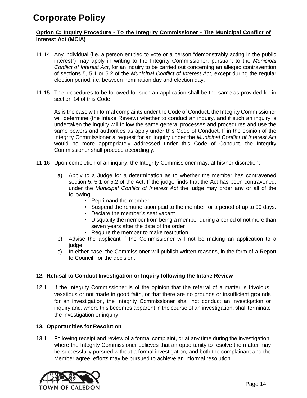# **Option C: Inquiry Procedure - To the Integrity Commissioner - The Municipal Conflict of Interest Act (MCIA)**

- 11.14 Any individual (i.e. a person entitled to vote or a person "demonstrably acting in the public interest") may apply in writing to the Integrity Commissioner, pursuant to the *Municipal Conflict of Interest Act*, for an inquiry to be carried out concerning an alleged contravention of sections 5, 5.1 or 5.2 of the *Municipal Conflict of Interest Act*, except during the regular election period, i.e. between nomination day and election day,
- 11.15 The procedures to be followed for such an application shall be the same as provided for in section 14 of this Code.

As is the case with formal complaints under the Code of Conduct, the Integrity Commissioner will determine (the Intake Review) whether to conduct an inquiry, and if such an inquiry is undertaken the inquiry will follow the same general processes and procedures and use the same powers and authorities as apply under this Code of Conduct. If in the opinion of the Integrity Commissioner a request for an Inquiry under the *Municipal Conflict of Interest Act* would be more appropriately addressed under this Code of Conduct, the Integrity Commissioner shall proceed accordingly.

- 11.16 Upon completion of an inquiry, the Integrity Commissioner may, at his/her discretion;
	- a) Apply to a Judge for a determination as to whether the member has contravened section 5, 5.1 or 5.2 of the Act. If the judge finds that the Act has been contravened, under the *Municipal Conflict of Interest Act* the judge may order any or all of the following:
		- Reprimand the member
		- Suspend the remuneration paid to the member for a period of up to 90 days.
		- Declare the member's seat vacant
		- Disqualify the member from being a member during a period of not more than seven years after the date of the order
		- Require the member to make restitution
	- b) Advise the applicant if the Commissioner will not be making an application to a judge.
	- c) In either case, the Commissioner will publish written reasons, in the form of a Report to Council, for the decision.

# <span id="page-13-0"></span>**12. Refusal to Conduct Investigation or Inquiry following the Intake Review**

12.1 If the Integrity Commissioner is of the opinion that the referral of a matter is frivolous, vexatious or not made in good faith, or that there are no grounds or insufficient grounds for an investigation, the Integrity Commissioner shall not conduct an investigation or inquiry and, where this becomes apparent in the course of an investigation, shall terminate the investigation or inquiry.

# <span id="page-13-1"></span>**13. Opportunities for Resolution**

13.1 Following receipt and review of a formal complaint, or at any time during the investigation, where the Integrity Commissioner believes that an opportunity to resolve the matter may be successfully pursued without a formal investigation, and both the complainant and the Member agree, efforts may be pursued to achieve an informal resolution.

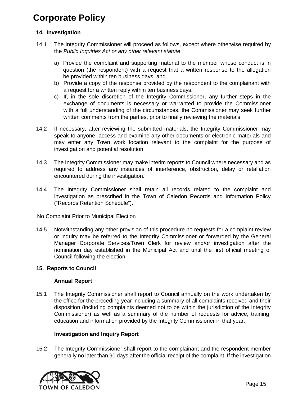# <span id="page-14-0"></span>**14. Investigation**

- 14.1 The Integrity Commissioner will proceed as follows, except where otherwise required by the *Public Inquiries Act or any other relevant statute*:
	- a) Provide the complaint and supporting material to the member whose conduct is in question (the respondent) with a request that a written response to the allegation be provided within ten business days; and
	- b) Provide a copy of the response provided by the respondent to the complainant with a request for a written reply within ten business days.
	- c) If, in the sole discretion of the Integrity Commissioner, any further steps in the exchange of documents is necessary or warranted to provide the Commissioner with a full understanding of the circumstances, the Commissioner may seek further written comments from the parties, prior to finally reviewing the materials.
- 14.2 If necessary, after reviewing the submitted materials, the Integrity Commissioner may speak to anyone, access and examine any other documents or electronic materials and may enter any Town work location relevant to the complaint for the purpose of investigation and potential resolution.
- 14.3 The Integrity Commissioner may make interim reports to Council where necessary and as required to address any instances of interference, obstruction, delay or retaliation encountered during the investigation.
- 14.4 The Integrity Commissioner shall retain all records related to the complaint and investigation as prescribed in the Town of Caledon Records and Information Policy ("Records Retention Schedule").

# No Complaint Prior to Municipal Election

14.5 Notwithstanding any other provision of this procedure no requests for a complaint review or inquiry may be referred to the Integrity Commissioner or forwarded by the General Manager Corporate Services/Town Clerk for review and/or investigation after the nomination day established in the Municipal Act and until the first official meeting of Council following the election.

# <span id="page-14-1"></span>**15. Reports to Council**

# **Annual Report**

15.1 The Integrity Commissioner shall report to Council annually on the work undertaken by the office for the preceding year including a summary of all complaints received and their disposition (including complaints deemed not to be within the jurisdiction of the Integrity Commissioner) as well as a summary of the number of requests for advice, training, education and information provided by the Integrity Commissioner in that year.

# **Investigation and Inquiry Report**

15.2 The Integrity Commissioner shall report to the complainant and the respondent member generally no later than 90 days after the official receipt of the complaint. If the investigation

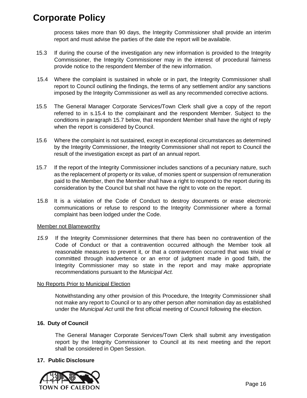process takes more than 90 days, the Integrity Commissioner shall provide an interim report and must advise the parties of the date the report will be available.

- 15.3 If during the course of the investigation any new information is provided to the Integrity Commissioner, the Integrity Commissioner may in the interest of procedural fairness provide notice to the respondent Member of the new information.
- 15.4 Where the complaint is sustained in whole or in part, the Integrity Commissioner shall report to Council outlining the findings, the terms of any settlement and/or any sanctions imposed by the Integrity Commissioner as well as any recommended corrective actions.
- 15.5 The General Manager Corporate Services/Town Clerk shall give a copy of the report referred to in s.15.4 to the complainant and the respondent Member. Subject to the conditions in paragraph 15.7 below, that respondent Member shall have the right of reply when the report is considered by Council.
- 15.6 Where the complaint is not sustained, except in exceptional circumstances as determined by the Integrity Commissioner, the Integrity Commissioner shall not report to Council the result of the investigation except as part of an annual report.
- 15.7 If the report of the Integrity Commissioner includes sanctions of a pecuniary nature, such as the replacement of property or its value, of monies spent or suspension of remuneration paid to the Member, then the Member shall have a right to respond to the report during its consideration by the Council but shall not have the right to vote on the report.
- 15.8 It is a violation of the Code of Conduct to destroy documents or erase electronic communications or refuse to respond to the Integrity Commissioner where a formal complaint has been lodged under the Code.

# Member not Blameworthy

*15.9* If the Integrity Commissioner determines that there has been no contravention of the Code of Conduct or that a contravention occurred although the Member took all reasonable measures to prevent it, or that a contravention occurred that was trivial or committed through inadvertence or an error of judgment made in good faith, the Integrity Commissioner may so state in the report and may make appropriate recommendations pursuant to the *Municipal Act.* 

# No Reports Prior to Municipal Election

Notwithstanding any other provision of this Procedure, the Integrity Commissioner shall not make any report to Council or to any other person after nomination day as established under the *Municipal Act* until the first official meeting of Council following the election.

# <span id="page-15-0"></span>**16. Duty of Council**

The General Manager Corporate Services/Town Clerk shall submit any investigation report by the Integrity Commissioner to Council at its next meeting and the report shall be considered in Open Session.

# <span id="page-15-1"></span>**17. Public Disclosure**

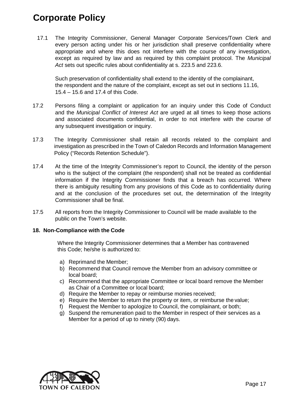17.1 The Integrity Commissioner, General Manager Corporate Services/Town Clerk and every person acting under his or her jurisdiction shall preserve confidentiality where appropriate and where this does not interfere with the course of any investigation, except as required by law and as required by this complaint protocol. The *Municipal Act* sets out specific rules about confidentiality at s. 223.5 and 223.6.

 Such preservation of confidentiality shall extend to the identity of the complainant, the respondent and the nature of the complaint, except as set out in sections 11.16, 15.4 – 15.6 and 17.4 of this Code.

- 17.2 Persons filing a complaint or application for an inquiry under this Code of Conduct and the *Municipal Conflict of Interest Act* are urged at all times to keep those actions and associated documents confidential, in order to not interfere with the course of any subsequent investigation or inquiry.
- 17.3 The Integrity Commissioner shall retain all records related to the complaint and investigation as prescribed in the Town of Caledon Records and Information Management Policy ("Records Retention Schedule").
- 17.4 At the time of the Integrity Commissioner's report to Council, the identity of the person who is the subject of the complaint (the respondent) shall not be treated as confidential information if the Integrity Commissioner finds that a breach has occurred. Where there is ambiguity resulting from any provisions of this Code as to confidentiality during and at the conclusion of the procedures set out, the determination of the Integrity Commissioner shall be final.
- 17.5 All reports from the Integrity Commissioner to Council will be made available to the public on the Town's website.

# <span id="page-16-0"></span>**18. Non-Compliance with the Code**

Where the Integrity Commissioner determines that a Member has contravened this Code; he/she is authorized to:

- a) Reprimand the Member;
- b) Recommend that Council remove the Member from an advisory committee or local board;
- c) Recommend that the appropriate Committee or local board remove the Member as Chair of a Committee or local board;
- d) Require the Member to repay or reimburse monies received;
- e) Require the Member to return the property or item, or reimburse the value;
- f) Request the Member to apologize to Council, the complainant, or both;
- g) Suspend the remuneration paid to the Member in respect of their services as a Member for a period of up to ninety (90) days.

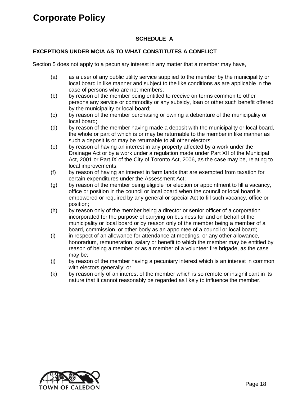# **SCHEDULE A**

# **EXCEPTIONS UNDER MCIA AS TO WHAT CONSTITUTES A CONFLICT**

Section 5 does not apply to a pecuniary interest in any matter that a member may have,

- (a) as a user of any public utility service supplied to the member by the municipality or local board in like manner and subject to the like conditions as are applicable in the case of persons who are not members;
- (b) by reason of the member being entitled to receive on terms common to other persons any service or commodity or any subsidy, loan or other such benefit offered by the municipality or local board;
- (c) by reason of the member purchasing or owning a debenture of the municipality or local board;
- (d) by reason of the member having made a deposit with the municipality or local board, the whole or part of which is or may be returnable to the member in like manner as such a deposit is or may be returnable to all other electors;
- (e) by reason of having an interest in any property affected by a work under the Drainage Act or by a work under a regulation made under Part XII of the Municipal Act, 2001 or Part IX of the City of Toronto Act, 2006, as the case may be, relating to local improvements;
- (f) by reason of having an interest in farm lands that are exempted from taxation for certain expenditures under the Assessment Act;
- (g) by reason of the member being eligible for election or appointment to fill a vacancy, office or position in the council or local board when the council or local board is empowered or required by any general or special Act to fill such vacancy, office or position;
- (h) by reason only of the member being a director or senior officer of a corporation incorporated for the purpose of carrying on business for and on behalf of the municipality or local board or by reason only of the member being a member of a board, commission, or other body as an appointee of a council or local board;
- (i) in respect of an allowance for attendance at meetings, or any other allowance, honorarium, remuneration, salary or benefit to which the member may be entitled by reason of being a member or as a member of a volunteer fire brigade, as the case may be;
- (j) by reason of the member having a pecuniary interest which is an interest in common with electors generally; or
- (k) by reason only of an interest of the member which is so remote or insignificant in its nature that it cannot reasonably be regarded as likely to influence the member.

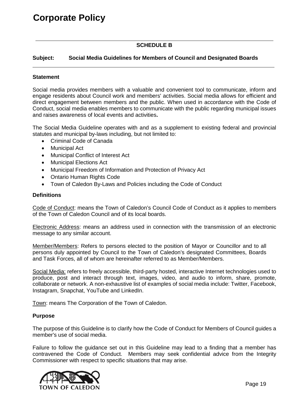# **SCHEDULE B**

# **Subject: Social Media Guidelines for Members of Council and Designated Boards**

#### **Statement**

Social media provides members with a valuable and convenient tool to communicate, inform and engage residents about Council work and members' activities. Social media allows for efficient and direct engagement between members and the public. When used in accordance with the Code of Conduct, social media enables members to communicate with the public regarding municipal issues and raises awareness of local events and activities**.**

The Social Media Guideline operates with and as a supplement to existing federal and provincial statutes and municipal by-laws including, but not limited to:

- Criminal Code of Canada
- Municipal Act
- Municipal Conflict of Interest Act
- Municipal Elections Act
- Municipal Freedom of Information and Protection of Privacy Act
- Ontario Human Rights Code
- Town of Caledon By-Laws and Policies including the Code of Conduct

#### **Definitions**

Code of Conduct: means the Town of Caledon's Council Code of Conduct as it applies to members of the Town of Caledon Council and of its local boards.

Electronic Address: means an address used in connection with the transmission of an electronic message to any similar account.

Member/Members: Refers to persons elected to the position of Mayor or Councillor and to all persons duly appointed by Council to the Town of Caledon's designated Committees, Boards and Task Forces, all of whom are hereinafter referred to as Member/Members.

Social Media: refers to freely accessible, third-party hosted, interactive Internet technologies used to produce, post and interact through text, images, video, and audio to inform, share, promote, collaborate or network. A non-exhaustive list of examples of social media include: Twitter, Facebook, Instagram, Snapchat, YouTube and LinkedIn.

Town: means The Corporation of the Town of Caledon.

#### **Purpose**

The purpose of this Guideline is to clarify how the Code of Conduct for Members of Council guides a member's use of social media.

Failure to follow the guidance set out in this Guideline may lead to a finding that a member has contravened the Code of Conduct. Members may seek confidential advice from the Integrity Commissioner with respect to specific situations that may arise.

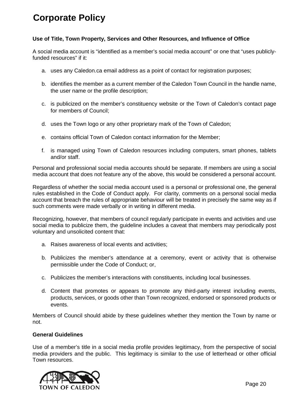# **Use of Title, Town Property, Services and Other Resources, and Influence of Office**

A social media account is "identified as a member's social media account" or one that "uses publiclyfunded resources" if it:

- a. uses any Caledon.ca email address as a point of contact for registration purposes;
- b. identifies the member as a current member of the Caledon Town Council in the handle name, the user name or the profile description;
- c. is publicized on the member's constituency website or the Town of Caledon's contact page for members of Council;
- d. uses the Town logo or any other proprietary mark of the Town of Caledon;
- e. contains official Town of Caledon contact information for the Member;
- f. is managed using Town of Caledon resources including computers, smart phones, tablets and/or staff.

Personal and professional social media accounts should be separate. If members are using a social media account that does not feature any of the above, this would be considered a personal account.

Regardless of whether the social media account used is a personal or professional one, the general rules established in the Code of Conduct apply. For clarity, comments on a personal social media account that breach the rules of appropriate behaviour will be treated in precisely the same way as if such comments were made verbally or in writing in different media.

Recognizing, however, that members of council regularly participate in events and activities and use social media to publicize them, the guideline includes a caveat that members may periodically post voluntary and unsolicited content that:

- a. Raises awareness of local events and activities;
- b. Publicizes the member's attendance at a ceremony, event or activity that is otherwise permissible under the Code of Conduct; or,
- c. Publicizes the member's interactions with constituents, including local businesses.
- d. Content that promotes or appears to promote any third-party interest including events, products, services, or goods other than Town recognized, endorsed or sponsored products or events.

Members of Council should abide by these guidelines whether they mention the Town by name or not.

#### **General Guidelines**

Use of a member's title in a social media profile provides legitimacy, from the perspective of social media providers and the public. This legitimacy is similar to the use of letterhead or other official Town resources.

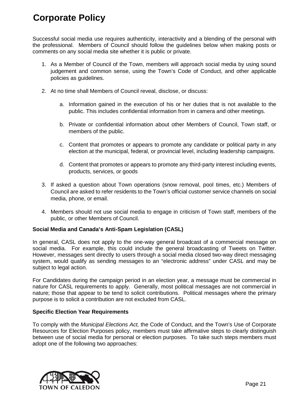Successful social media use requires authenticity, interactivity and a blending of the personal with the professional. Members of Council should follow the guidelines below when making posts or comments on any social media site whether it is public or private.

- 1. As a Member of Council of the Town, members will approach social media by using sound judgement and common sense, using the Town's Code of Conduct, and other applicable policies as guidelines.
- 2. At no time shall Members of Council reveal, disclose, or discuss:
	- a. Information gained in the execution of his or her duties that is not available to the public. This includes confidential information from in camera and other meetings.
	- b. Private or confidential information about other Members of Council, Town staff, or members of the public.
	- c. Content that promotes or appears to promote any candidate or political party in any election at the municipal, federal, or provincial level, including leadership campaigns.
	- d. Content that promotes or appears to promote any third-party interest including events, products, services, or goods
- 3. If asked a question about Town operations (snow removal, pool times, etc.) Members of Council are asked to refer residents to the Town's official customer service channels on social media, phone, or email.
- 4. Members should not use social media to engage in criticism of Town staff, members of the public, or other Members of Council.

# **Social Media and Canada's Anti-Spam Legislation (CASL)**

In general, CASL does not apply to the one-way general broadcast of a commercial message on social media. For example, this could include the general broadcasting of Tweets on Twitter. However, messages sent directly to users through a social media closed two-way direct messaging system, would qualify as sending messages to an "electronic address" under CASL and may be subject to legal action.

For Candidates during the campaign period in an election year, a message must be commercial in nature for CASL requirements to apply. Generally, most political messages are not commercial in nature; those that appear to be tend to solicit contributions. Political messages where the primary purpose is to solicit a contribution are not excluded from CASL.

# **Specific Election Year Requirements**

To comply with the *Municipal Elections Act,* the Code of Conduct, and the Town's Use of Corporate Resources for Election Purposes policy, members must take affirmative steps to clearly distinguish between use of social media for personal or election purposes. To take such steps members must adopt one of the following two approaches:

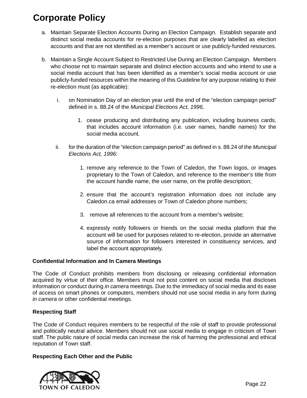- a. Maintain Separate Election Accounts During an Election Campaign. Establish separate and distinct social media accounts for re-election purposes that are clearly labelled as election accounts and that are not identified as a member's account or use publicly-funded resources.
- b. Maintain a Single Account Subject to Restricted Use During an Election Campaign. Members who choose not to maintain separate and distinct election accounts and who intend to use a social media account that has been identified as a member's social media account or use publicly-funded resources within the meaning of this Guideline for any purpose relating to their re-election must (as applicable):
	- i. on Nomination Day of an election year until the end of the "election campaign period" defined in s. 88.24 of the *Municipal Elections Act, 1996,* 
		- 1. cease producing and distributing any publication, including business cards, that includes account information (i.e. user names, handle names) for the social media account.
	- ii. for the duration of the "election campaign period" as defined in s. 88.24 of the *Municipal Elections Act, 1996*:
		- 1. remove any reference to the Town of Caledon, the Town logos, or images proprietary to the Town of Caledon, and reference to the member's title from the account handle name, the user name, on the profile description;
		- 2. ensure that the account's registration information does not include any Caledon.ca email addresses or Town of Caledon phone numbers;
		- 3. remove all references to the account from a member's website;
		- 4. expressly notify followers or friends on the social media platform that the account will be used for purposes related to re-election, provide an alternative source of information for followers interested in constituency services, and label the account appropriately.

# **Confidential Information and In Camera Meetings**

The Code of Conduct prohibits members from disclosing or releasing confidential information acquired by virtue of their office. Members must not post content on social media that discloses information or conduct during *in camera* meetings. Due to the immediacy of social media and its ease of access on smart phones or computers, members should not use social media in any form during *in camera* or other confidential meetings.

# **Respecting Staff**

The Code of Conduct requires members to be respectful of the role of staff to provide professional and politically neutral advice. Members should not use social media to engage in criticism of Town staff. The public nature of social media can increase the risk of harming the professional and ethical reputation of Town staff.

# **Respecting Each Other and the Public**